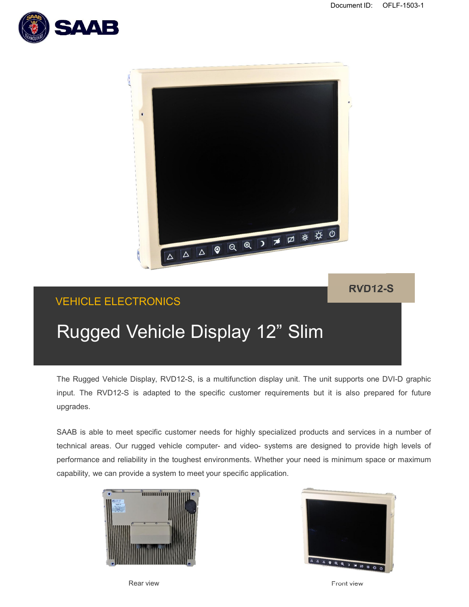



## **RVD12-S**

# VEHICLE ELECTRONICS

# Rugged Vehicle Display 12" Slim

The Rugged Vehicle Display, RVD12-S, is a multifunction display unit. The unit supports one DVI-D graphic input. The RVD12-S is adapted to the specific customer requirements but it is also prepared for future upgrades.

SAAB is able to meet specific customer needs for highly specialized products and services in a number of technical areas. Our rugged vehicle computer- and video- systems are designed to provide high levels of performance and reliability in the toughest environments. Whether your need is minimum space or maximum capability, we can provide a system to meet your specific application.





Rear view Front view